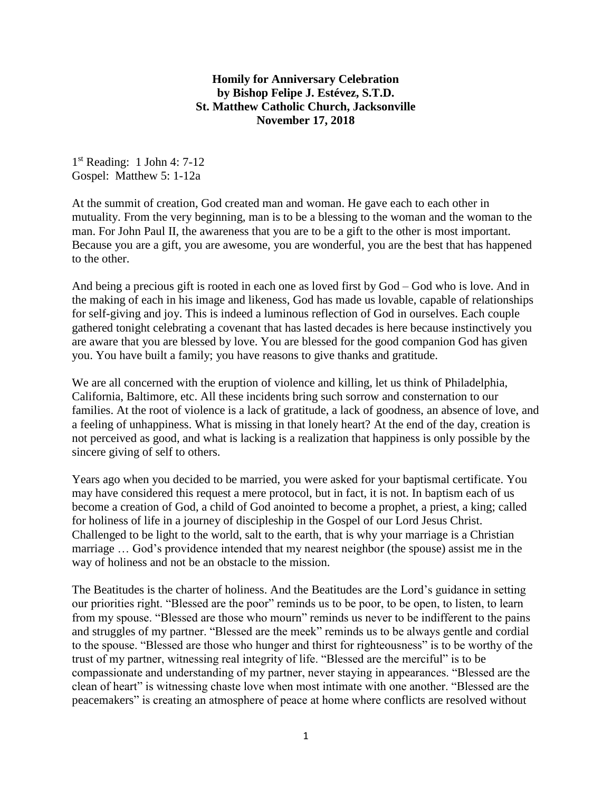## **Homily for Anniversary Celebration by Bishop Felipe J. Estévez, S.T.D. St. Matthew Catholic Church, Jacksonville November 17, 2018**

1 st Reading: 1 John 4: 7-12 Gospel: Matthew 5: 1-12a

At the summit of creation, God created man and woman. He gave each to each other in mutuality. From the very beginning, man is to be a blessing to the woman and the woman to the man. For John Paul II, the awareness that you are to be a gift to the other is most important. Because you are a gift, you are awesome, you are wonderful, you are the best that has happened to the other.

And being a precious gift is rooted in each one as loved first by God – God who is love. And in the making of each in his image and likeness, God has made us lovable, capable of relationships for self-giving and joy. This is indeed a luminous reflection of God in ourselves. Each couple gathered tonight celebrating a covenant that has lasted decades is here because instinctively you are aware that you are blessed by love. You are blessed for the good companion God has given you. You have built a family; you have reasons to give thanks and gratitude.

We are all concerned with the eruption of violence and killing, let us think of Philadelphia, California, Baltimore, etc. All these incidents bring such sorrow and consternation to our families. At the root of violence is a lack of gratitude, a lack of goodness, an absence of love, and a feeling of unhappiness. What is missing in that lonely heart? At the end of the day, creation is not perceived as good, and what is lacking is a realization that happiness is only possible by the sincere giving of self to others.

Years ago when you decided to be married, you were asked for your baptismal certificate. You may have considered this request a mere protocol, but in fact, it is not. In baptism each of us become a creation of God, a child of God anointed to become a prophet, a priest, a king; called for holiness of life in a journey of discipleship in the Gospel of our Lord Jesus Christ. Challenged to be light to the world, salt to the earth, that is why your marriage is a Christian marriage … God's providence intended that my nearest neighbor (the spouse) assist me in the way of holiness and not be an obstacle to the mission.

The Beatitudes is the charter of holiness. And the Beatitudes are the Lord's guidance in setting our priorities right. "Blessed are the poor" reminds us to be poor, to be open, to listen, to learn from my spouse. "Blessed are those who mourn" reminds us never to be indifferent to the pains and struggles of my partner. "Blessed are the meek" reminds us to be always gentle and cordial to the spouse. "Blessed are those who hunger and thirst for righteousness" is to be worthy of the trust of my partner, witnessing real integrity of life. "Blessed are the merciful" is to be compassionate and understanding of my partner, never staying in appearances. "Blessed are the clean of heart" is witnessing chaste love when most intimate with one another. "Blessed are the peacemakers" is creating an atmosphere of peace at home where conflicts are resolved without